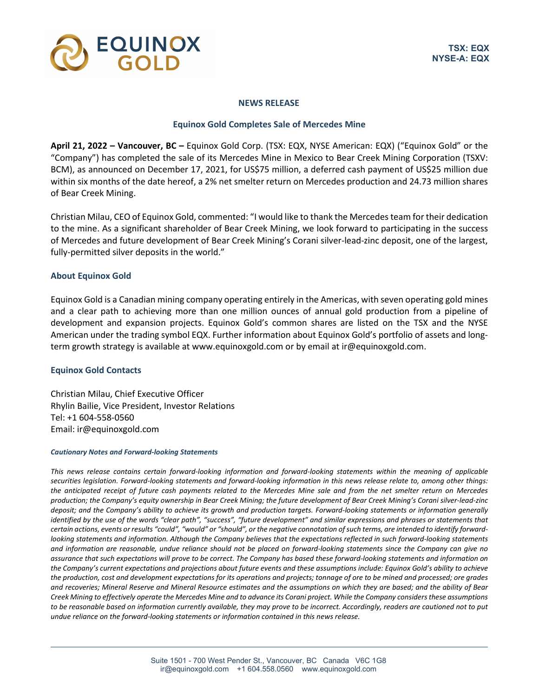

### **NEWS RELEASE**

# **Equinox Gold Completes Sale of Mercedes Mine**

**April 21, 2022 – Vancouver, BC –** Equinox Gold Corp. (TSX: EQX, NYSE American: EQX) ("Equinox Gold" or the "Company") has completed the sale of its Mercedes Mine in Mexico to Bear Creek Mining Corporation (TSXV: BCM), as announced on December 17, 2021, for US\$75 million, a deferred cash payment of US\$25 million due within six months of the date hereof, a 2% net smelter return on Mercedes production and 24.73 million shares of Bear Creek Mining.

Christian Milau, CEO of Equinox Gold, commented: "I would like to thank the Mercedes team for their dedication to the mine. As a significant shareholder of Bear Creek Mining, we look forward to participating in the success of Mercedes and future development of Bear Creek Mining's Corani silver-lead-zinc deposit, one of the largest, fully-permitted silver deposits in the world."

# **About Equinox Gold**

Equinox Gold is a Canadian mining company operating entirely in the Americas, with seven operating gold mines and a clear path to achieving more than one million ounces of annual gold production from a pipeline of development and expansion projects. Equinox Gold's common shares are listed on the TSX and the NYSE American under the trading symbol EQX. Further information about Equinox Gold's portfolio of assets and longterm growth strategy is available at www.equinoxgold.com or by email at ir@equinoxgold.com.

#### **Equinox Gold Contacts**

Christian Milau, Chief Executive Officer Rhylin Bailie, Vice President, Investor Relations Tel: +1 604-558-0560 Email: ir@equinoxgold.com

#### *Cautionary Notes and Forward-looking Statements*

*This news release contains certain forward-looking information and forward-looking statements within the meaning of applicable securities legislation. Forward-looking statements and forward-looking information in this news release relate to, among other things: the anticipated receipt of future cash payments related to the Mercedes Mine sale and from the net smelter return on Mercedes production; the Company's equity ownership in Bear Creek Mining; the future development of Bear Creek Mining's Corani silver-lead-zinc deposit; and the Company's ability to achieve its growth and production targets. Forward-looking statements or information generally identified by the use of the words "clear path", "success", "future development" and similar expressions and phrases or statements that certain actions, events or results "could", "would" or "should", or the negative connotation of such terms, are intended to identify forwardlooking statements and information. Although the Company believes that the expectations reflected in such forward-looking statements and information are reasonable, undue reliance should not be placed on forward-looking statements since the Company can give no assurance that such expectations will prove to be correct. The Company has based these forward-looking statements and information on the Company's current expectations and projections about future events and these assumptions include: Equinox Gold's ability to achieve the production, cost and development expectations for its operations and projects; tonnage of ore to be mined and processed; ore grades and recoveries; Mineral Reserve and Mineral Resource estimates and the assumptions on which they are based; and the ability of Bear Creek Mining to effectively operate the Mercedes Mine and to advance its Corani project. While the Company considers these assumptions to be reasonable based on information currently available, they may prove to be incorrect. Accordingly, readers are cautioned not to put undue reliance on the forward-looking statements or information contained in this news release.*